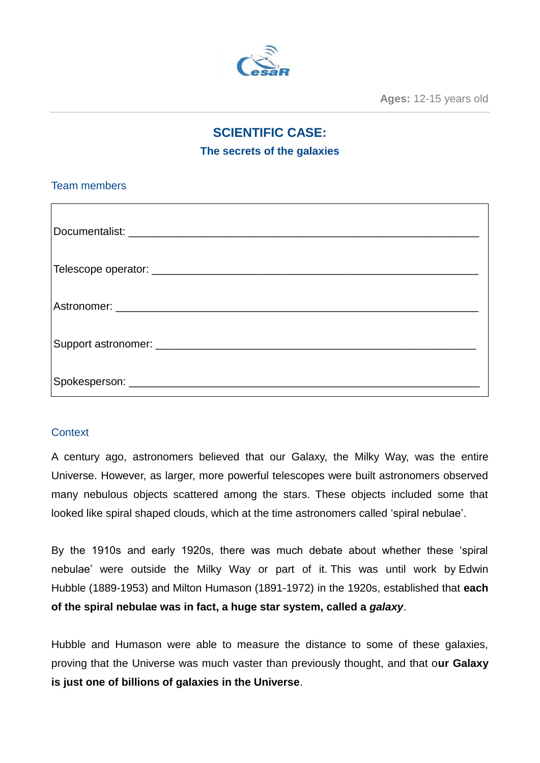

## **SCIENTIFIC CASE:**

### **The secrets of the galaxies**

| <b>Team members</b> |
|---------------------|
|                     |
|                     |
|                     |
|                     |
|                     |

#### Context

A century ago, astronomers believed that our Galaxy, the Milky Way, was the entire Universe. However, as larger, more powerful telescopes were built astronomers observed many nebulous objects scattered among the stars. These objects included some that looked like spiral shaped clouds, which at the time astronomers called 'spiral nebulae'.

By the 1910s and early 1920s, there was much debate about whether these 'spiral nebulae' were outside the Milky Way or part of it. This was until work by Edwin Hubble (1889-1953) and Milton Humason (1891-1972) in the 1920s, established that **each of the spiral nebulae was in fact, a huge star system, called a** *galaxy*.

Hubble and Humason were able to measure the distance to some of these galaxies, proving that the Universe was much vaster than previously thought, and that o**ur Galaxy is just one of billions of galaxies in the Universe**.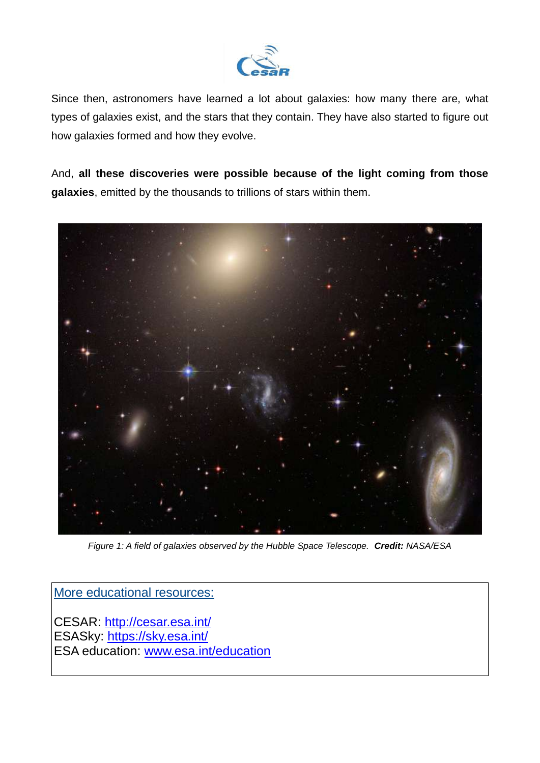

Since then, astronomers have learned a lot about galaxies: how many there are, what types of galaxies exist, and the stars that they contain. They have also started to figure out how galaxies formed and how they evolve.

And, **all these discoveries were possible because of the light coming from those galaxies**, emitted by the thousands to trillions of stars within them.



*Figure 1: A field of galaxies observed by the Hubble Space Telescope. Credit: NASA/ESA*

More educational resources:

CESAR:<http://cesar.esa.int/> ESASky:<https://sky.esa.int/> ESA education: www.esa.int/education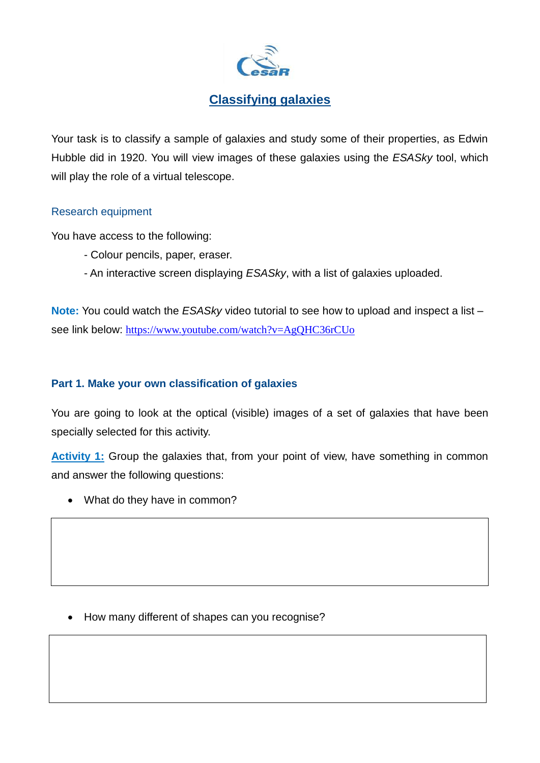

## **Classifying galaxies**

Your task is to classify a sample of galaxies and study some of their properties, as Edwin Hubble did in 1920. You will view images of these galaxies using the *ESASky* tool, which will play the role of a virtual telescope.

### Research equipment

You have access to the following:

- Colour pencils, paper, eraser.
- An interactive screen displaying *ESASky*, with a list of galaxies uploaded.

**Note:** You could watch the *ESASky* video tutorial to see how to upload and inspect a list – see link below: <https://www.youtube.com/watch?v=AgQHC36rCUo>

### **Part 1. Make your own classification of galaxies**

You are going to look at the optical (visible) images of a set of galaxies that have been specially selected for this activity.

Activity 1: Group the galaxies that, from your point of view, have something in common and answer the following questions:

• What do they have in common?

• How many different of shapes can you recognise?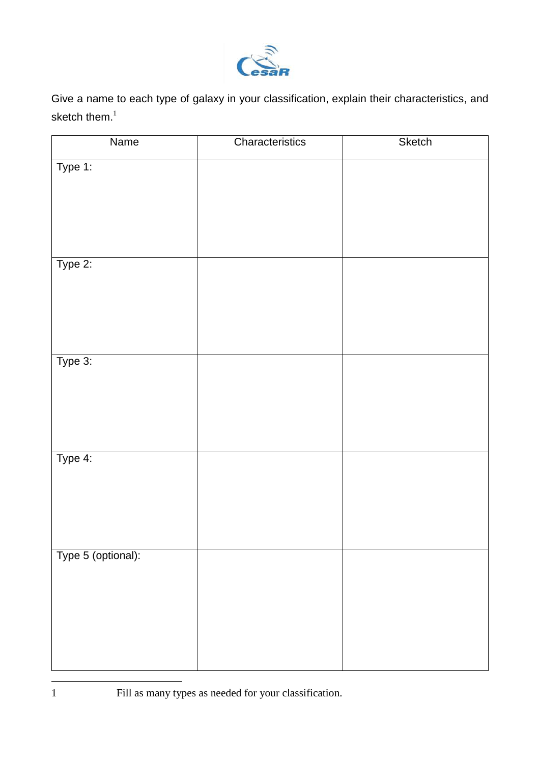

Give a name to each type of galaxy in your classification, explain their characteristics, and sketch them. $^1$ 

| Name               | Characteristics | Sketch |
|--------------------|-----------------|--------|
| Type 1:            |                 |        |
|                    |                 |        |
|                    |                 |        |
|                    |                 |        |
| Type 2:            |                 |        |
|                    |                 |        |
|                    |                 |        |
|                    |                 |        |
|                    |                 |        |
| Type 3:            |                 |        |
|                    |                 |        |
|                    |                 |        |
|                    |                 |        |
| Type 4:            |                 |        |
|                    |                 |        |
|                    |                 |        |
|                    |                 |        |
|                    |                 |        |
| Type 5 (optional): |                 |        |
|                    |                 |        |
|                    |                 |        |
|                    |                 |        |
|                    |                 |        |
|                    |                 |        |

Fill as many types as needed for your classification.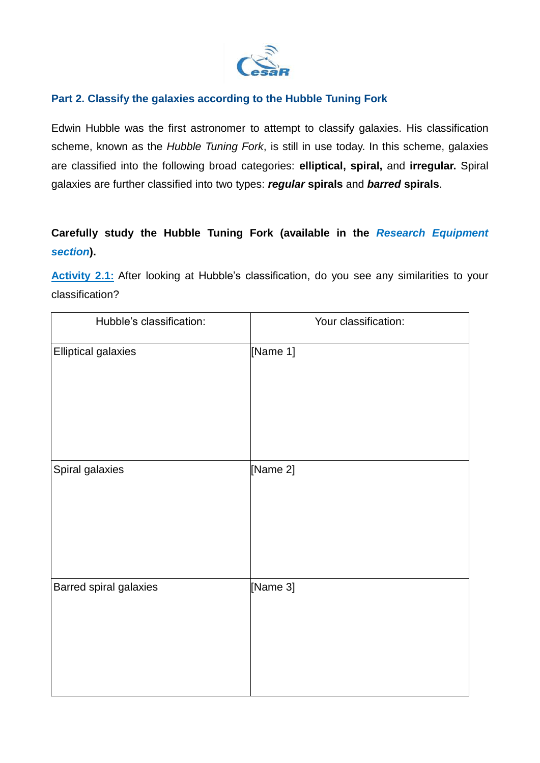

### **Part 2. Classify the galaxies according to the Hubble Tuning Fork**

Edwin Hubble was the first astronomer to attempt to classify galaxies. His classification scheme, known as the *Hubble Tuning Fork*, is still in use today. In this scheme, galaxies are classified into the following broad categories: **elliptical, spiral,** and **irregular.** Spiral galaxies are further classified into two types: *regular* **spirals** and *barred* **spirals**.

# **Carefully study the Hubble Tuning Fork (available in the** *Research Equipment section***).**

**Activity 2.1:** After looking at Hubble's classification, do you see any similarities to your classification?

| Hubble's classification:   | Your classification: |
|----------------------------|----------------------|
| <b>Elliptical galaxies</b> | [Name 1]             |
| Spiral galaxies            | [Name 2]             |
| Barred spiral galaxies     | [Name 3]             |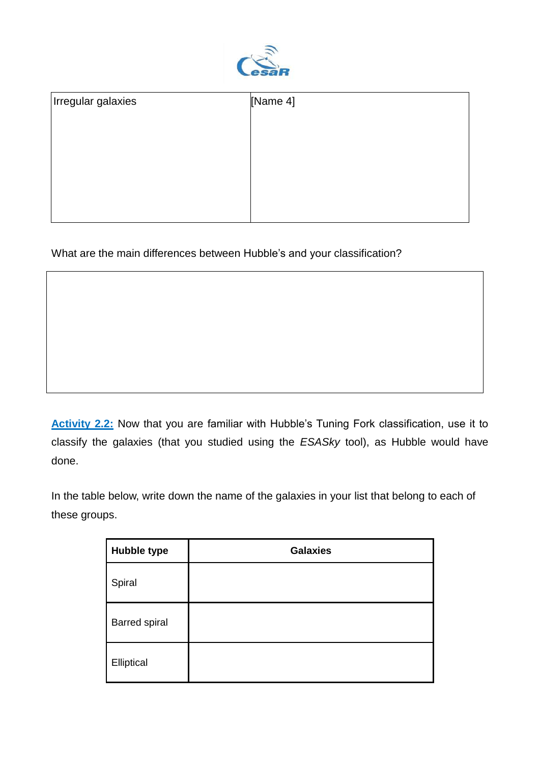

| Irregular galaxies | [Name 4] |  |  |  |  |
|--------------------|----------|--|--|--|--|
|                    |          |  |  |  |  |
|                    |          |  |  |  |  |
|                    |          |  |  |  |  |
|                    |          |  |  |  |  |
|                    |          |  |  |  |  |

## What are the main differences between Hubble's and your classification?

**Activity 2.2:** Now that you are familiar with Hubble's Tuning Fork classification, use it to classify the galaxies (that you studied using the *ESASky* tool), as Hubble would have done.

In the table below, write down the name of the galaxies in your list that belong to each of these groups.

| <b>Hubble type</b>   | <b>Galaxies</b> |
|----------------------|-----------------|
| Spiral               |                 |
| <b>Barred spiral</b> |                 |
| Elliptical           |                 |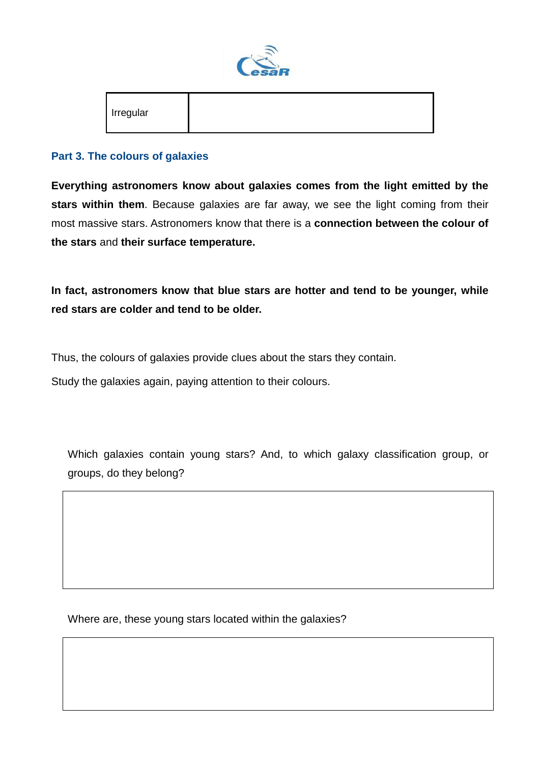

| Irregular |  |  |  |  |  |  |  |  |  |
|-----------|--|--|--|--|--|--|--|--|--|
|-----------|--|--|--|--|--|--|--|--|--|

### **Part 3. The colours of galaxies**

**Everything astronomers know about galaxies comes from the light emitted by the stars within them**. Because galaxies are far away, we see the light coming from their most massive stars. Astronomers know that there is a **connection between the colour of the stars** and **their surface temperature.** 

**In fact, astronomers know that blue stars are hotter and tend to be younger, while red stars are colder and tend to be older.**

Thus, the colours of galaxies provide clues about the stars they contain.

Study the galaxies again, paying attention to their colours.

Which galaxies contain young stars? And, to which galaxy classification group, or groups, do they belong?

Where are, these young stars located within the galaxies?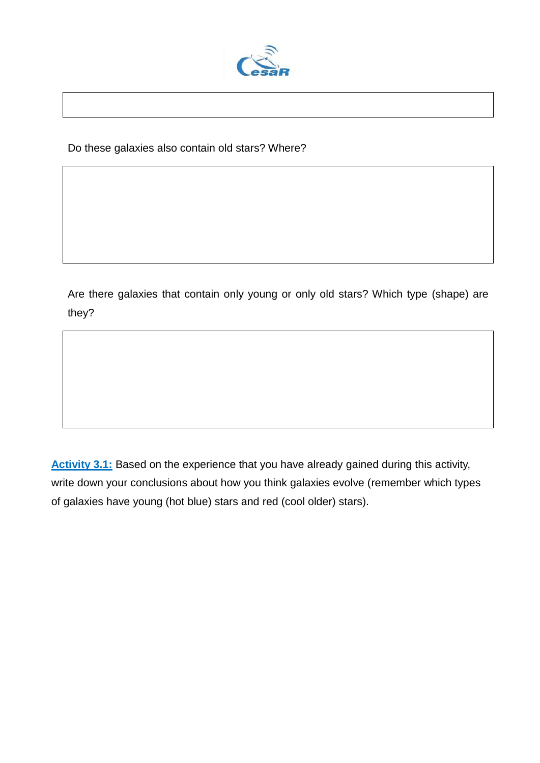

Do these galaxies also contain old stars? Where?

Are there galaxies that contain only young or only old stars? Which type (shape) are they?

**Activity 3.1:** Based on the experience that you have already gained during this activity, write down your conclusions about how you think galaxies evolve (remember which types of galaxies have young (hot blue) stars and red (cool older) stars).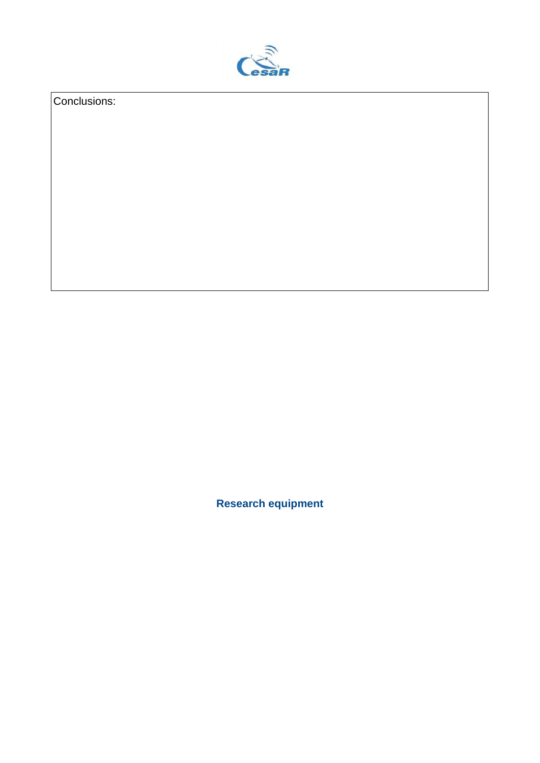

Conclusions:

**Research equipment**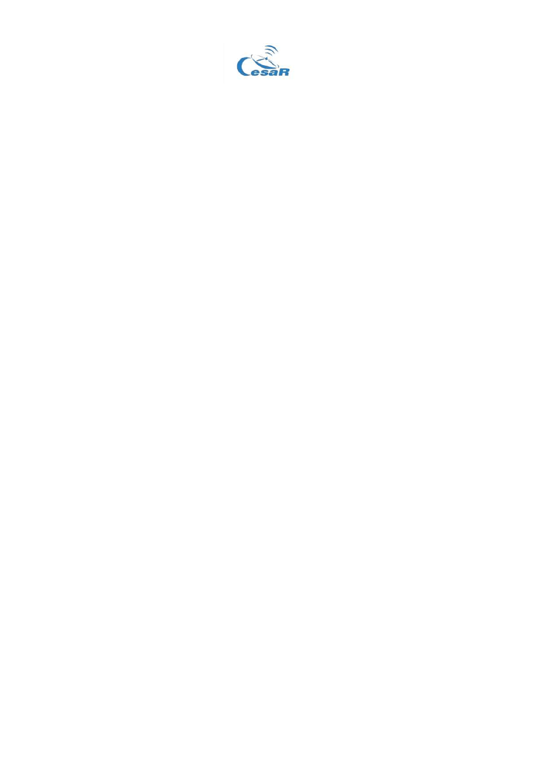